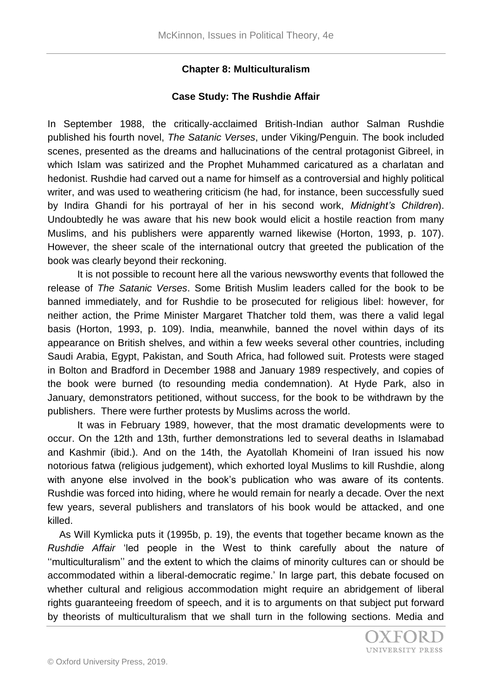## **Chapter 8: Multiculturalism**

### **Case Study: The Rushdie Affair**

In September 1988, the critically-acclaimed British-Indian author Salman Rushdie published his fourth novel, *The Satanic Verses*, under Viking/Penguin. The book included scenes, presented as the dreams and hallucinations of the central protagonist Gibreel, in which Islam was satirized and the Prophet Muhammed caricatured as a charlatan and hedonist. Rushdie had carved out a name for himself as a controversial and highly political writer, and was used to weathering criticism (he had, for instance, been successfully sued by Indira Ghandi for his portrayal of her in his second work, *Midnight's Children*). Undoubtedly he was aware that his new book would elicit a hostile reaction from many Muslims, and his publishers were apparently warned likewise (Horton, 1993, p. 107). However, the sheer scale of the international outcry that greeted the publication of the book was clearly beyond their reckoning.

It is not possible to recount here all the various newsworthy events that followed the release of *The Satanic Verses*. Some British Muslim leaders called for the book to be banned immediately, and for Rushdie to be prosecuted for religious libel: however, for neither action, the Prime Minister Margaret Thatcher told them, was there a valid legal basis (Horton, 1993, p. 109). India, meanwhile, banned the novel within days of its appearance on British shelves, and within a few weeks several other countries, including Saudi Arabia, Egypt, Pakistan, and South Africa, had followed suit. Protests were staged in Bolton and Bradford in December 1988 and January 1989 respectively, and copies of the book were burned (to resounding media condemnation). At Hyde Park, also in January, demonstrators petitioned, without success, for the book to be withdrawn by the publishers. There were further protests by Muslims across the world.

It was in February 1989, however, that the most dramatic developments were to occur. On the 12th and 13th, further demonstrations led to several deaths in Islamabad and Kashmir (ibid.). And on the 14th, the Ayatollah Khomeini of Iran issued his now notorious fatwa (religious judgement), which exhorted loyal Muslims to kill Rushdie, along with anyone else involved in the book's publication who was aware of its contents. Rushdie was forced into hiding, where he would remain for nearly a decade. Over the next few years, several publishers and translators of his book would be attacked, and one killed.

As Will Kymlicka puts it (1995b, p. 19), the events that together became known as the *Rushdie Affair* 'led people in the West to think carefully about the nature of ''multiculturalism'' and the extent to which the claims of minority cultures can or should be accommodated within a liberal-democratic regime.' In large part, this debate focused on whether cultural and religious accommodation might require an abridgement of liberal rights guaranteeing freedom of speech, and it is to arguments on that subject put forward by theorists of multiculturalism that we shall turn in the following sections. Media and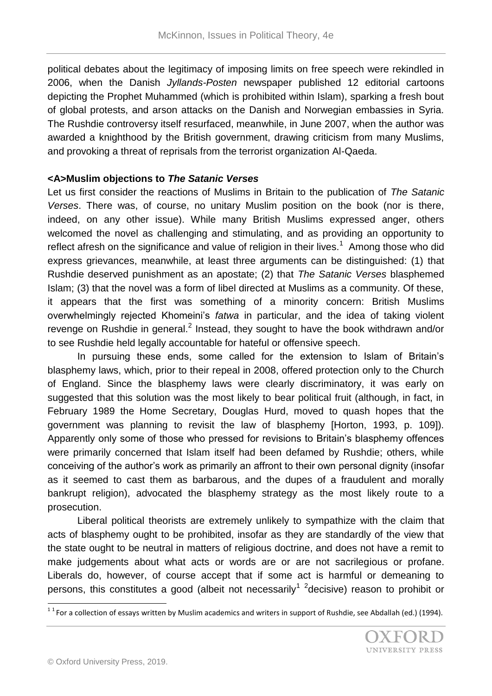political debates about the legitimacy of imposing limits on free speech were rekindled in 2006, when the Danish *Jyllands-Posten* newspaper published 12 editorial cartoons depicting the Prophet Muhammed (which is prohibited within Islam), sparking a fresh bout of global protests, and arson attacks on the Danish and Norwegian embassies in Syria. The Rushdie controversy itself resurfaced, meanwhile, in June 2007, when the author was awarded a knighthood by the British government, drawing criticism from many Muslims, and provoking a threat of reprisals from the terrorist organization Al-Qaeda.

### **<A>Muslim objections to** *The Satanic Verses*

Let us first consider the reactions of Muslims in Britain to the publication of *The Satanic Verses*. There was, of course, no unitary Muslim position on the book (nor is there, indeed, on any other issue). While many British Muslims expressed anger, others welcomed the novel as challenging and stimulating, and as providing an opportunity to reflect afresh on the significance and value of religion in their lives.<sup>1</sup> Among those who did express grievances, meanwhile, at least three arguments can be distinguished: (1) that Rushdie deserved punishment as an apostate; (2) that *The Satanic Verses* blasphemed Islam; (3) that the novel was a form of libel directed at Muslims as a community. Of these, it appears that the first was something of a minority concern: British Muslims overwhelmingly rejected Khomeini's *fatwa* in particular, and the idea of taking violent revenge on Rushdie in general.<sup>2</sup> Instead, they sought to have the book withdrawn and/or to see Rushdie held legally accountable for hateful or offensive speech.

In pursuing these ends, some called for the extension to Islam of Britain's blasphemy laws, which, prior to their repeal in 2008, offered protection only to the Church of England. Since the blasphemy laws were clearly discriminatory, it was early on suggested that this solution was the most likely to bear political fruit (although, in fact, in February 1989 the Home Secretary, Douglas Hurd, moved to quash hopes that the government was planning to revisit the law of blasphemy [Horton, 1993, p. 109]). Apparently only some of those who pressed for revisions to Britain's blasphemy offences were primarily concerned that Islam itself had been defamed by Rushdie; others, while conceiving of the author's work as primarily an affront to their own personal dignity (insofar as it seemed to cast them as barbarous, and the dupes of a fraudulent and morally bankrupt religion), advocated the blasphemy strategy as the most likely route to a prosecution.

Liberal political theorists are extremely unlikely to sympathize with the claim that acts of blasphemy ought to be prohibited, insofar as they are standardly of the view that the state ought to be neutral in matters of religious doctrine, and does not have a remit to make judgements about what acts or words are or are not sacrilegious or profane. Liberals do, however, of course accept that if some act is harmful or demeaning to persons, this constitutes a good (albeit not necessarily<sup>1 2</sup>decisive) reason to prohibit or

 1 1 For a collection of essays written by Muslim academics and writers in support of Rushdie, see Abdallah (ed.) (1994).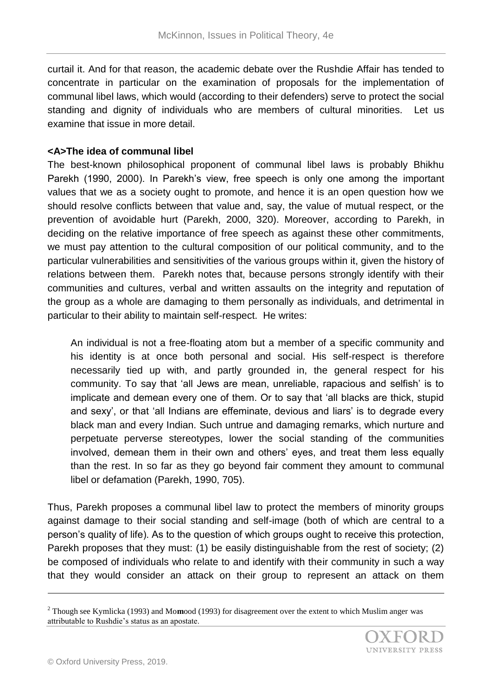curtail it. And for that reason, the academic debate over the Rushdie Affair has tended to concentrate in particular on the examination of proposals for the implementation of communal libel laws, which would (according to their defenders) serve to protect the social standing and dignity of individuals who are members of cultural minorities. Let us examine that issue in more detail.

# **<A>The idea of communal libel**

The best-known philosophical proponent of communal libel laws is probably Bhikhu Parekh (1990, 2000). In Parekh's view, free speech is only one among the important values that we as a society ought to promote, and hence it is an open question how we should resolve conflicts between that value and, say, the value of mutual respect, or the prevention of avoidable hurt (Parekh, 2000, 320). Moreover, according to Parekh, in deciding on the relative importance of free speech as against these other commitments, we must pay attention to the cultural composition of our political community, and to the particular vulnerabilities and sensitivities of the various groups within it, given the history of relations between them. Parekh notes that, because persons strongly identify with their communities and cultures, verbal and written assaults on the integrity and reputation of the group as a whole are damaging to them personally as individuals, and detrimental in particular to their ability to maintain self-respect. He writes:

An individual is not a free-floating atom but a member of a specific community and his identity is at once both personal and social. His self-respect is therefore necessarily tied up with, and partly grounded in, the general respect for his community. To say that 'all Jews are mean, unreliable, rapacious and selfish' is to implicate and demean every one of them. Or to say that 'all blacks are thick, stupid and sexy', or that 'all Indians are effeminate, devious and liars' is to degrade every black man and every Indian. Such untrue and damaging remarks, which nurture and perpetuate perverse stereotypes, lower the social standing of the communities involved, demean them in their own and others' eyes, and treat them less equally than the rest. In so far as they go beyond fair comment they amount to communal libel or defamation (Parekh, 1990, 705).

Thus, Parekh proposes a communal libel law to protect the members of minority groups against damage to their social standing and self-image (both of which are central to a person's quality of life). As to the question of which groups ought to receive this protection, Parekh proposes that they must: (1) be easily distinguishable from the rest of society; (2) be composed of individuals who relate to and identify with their community in such a way that they would consider an attack on their group to represent an attack on them

 $\overline{a}$ 

<sup>2</sup> Though see Kymlicka (1993) and Mo**m**ood (1993) for disagreement over the extent to which Muslim anger was attributable to Rushdie's status as an apostate.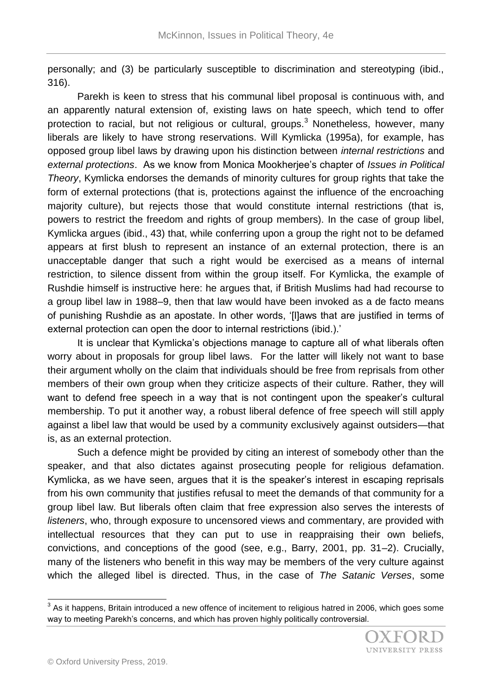personally; and (3) be particularly susceptible to discrimination and stereotyping (ibid., 316).

Parekh is keen to stress that his communal libel proposal is continuous with, and an apparently natural extension of, existing laws on hate speech, which tend to offer protection to racial, but not religious or cultural, groups. $3$  Nonetheless, however, many liberals are likely to have strong reservations. Will Kymlicka (1995a), for example, has opposed group libel laws by drawing upon his distinction between *internal restrictions* and *external protections*. As we know from Monica Mookherjee's chapter of *Issues in Political Theory*, Kymlicka endorses the demands of minority cultures for group rights that take the form of external protections (that is, protections against the influence of the encroaching majority culture), but rejects those that would constitute internal restrictions (that is, powers to restrict the freedom and rights of group members). In the case of group libel, Kymlicka argues (ibid., 43) that, while conferring upon a group the right not to be defamed appears at first blush to represent an instance of an external protection, there is an unacceptable danger that such a right would be exercised as a means of internal restriction, to silence dissent from within the group itself. For Kymlicka, the example of Rushdie himself is instructive here: he argues that, if British Muslims had had recourse to a group libel law in 1988–9, then that law would have been invoked as a de facto means of punishing Rushdie as an apostate. In other words, '[l]aws that are justified in terms of external protection can open the door to internal restrictions (ibid.).'

It is unclear that Kymlicka's objections manage to capture all of what liberals often worry about in proposals for group libel laws. For the latter will likely not want to base their argument wholly on the claim that individuals should be free from reprisals from other members of their own group when they criticize aspects of their culture. Rather, they will want to defend free speech in a way that is not contingent upon the speaker's cultural membership. To put it another way, a robust liberal defence of free speech will still apply against a libel law that would be used by a community exclusively against outsiders—that is, as an external protection.

Such a defence might be provided by citing an interest of somebody other than the speaker, and that also dictates against prosecuting people for religious defamation. Kymlicka, as we have seen, argues that it is the speaker's interest in escaping reprisals from his own community that justifies refusal to meet the demands of that community for a group libel law. But liberals often claim that free expression also serves the interests of *listeners*, who, through exposure to uncensored views and commentary, are provided with intellectual resources that they can put to use in reappraising their own beliefs, convictions, and conceptions of the good (see, e.g., Barry, 2001, pp. 31–2). Crucially, many of the listeners who benefit in this way may be members of the very culture against which the alleged libel is directed. Thus, in the case of *The Satanic Verses*, some

l

 $3$  As it happens, Britain introduced a new offence of incitement to religious hatred in 2006, which goes some way to meeting Parekh's concerns, and which has proven highly politically controversial.